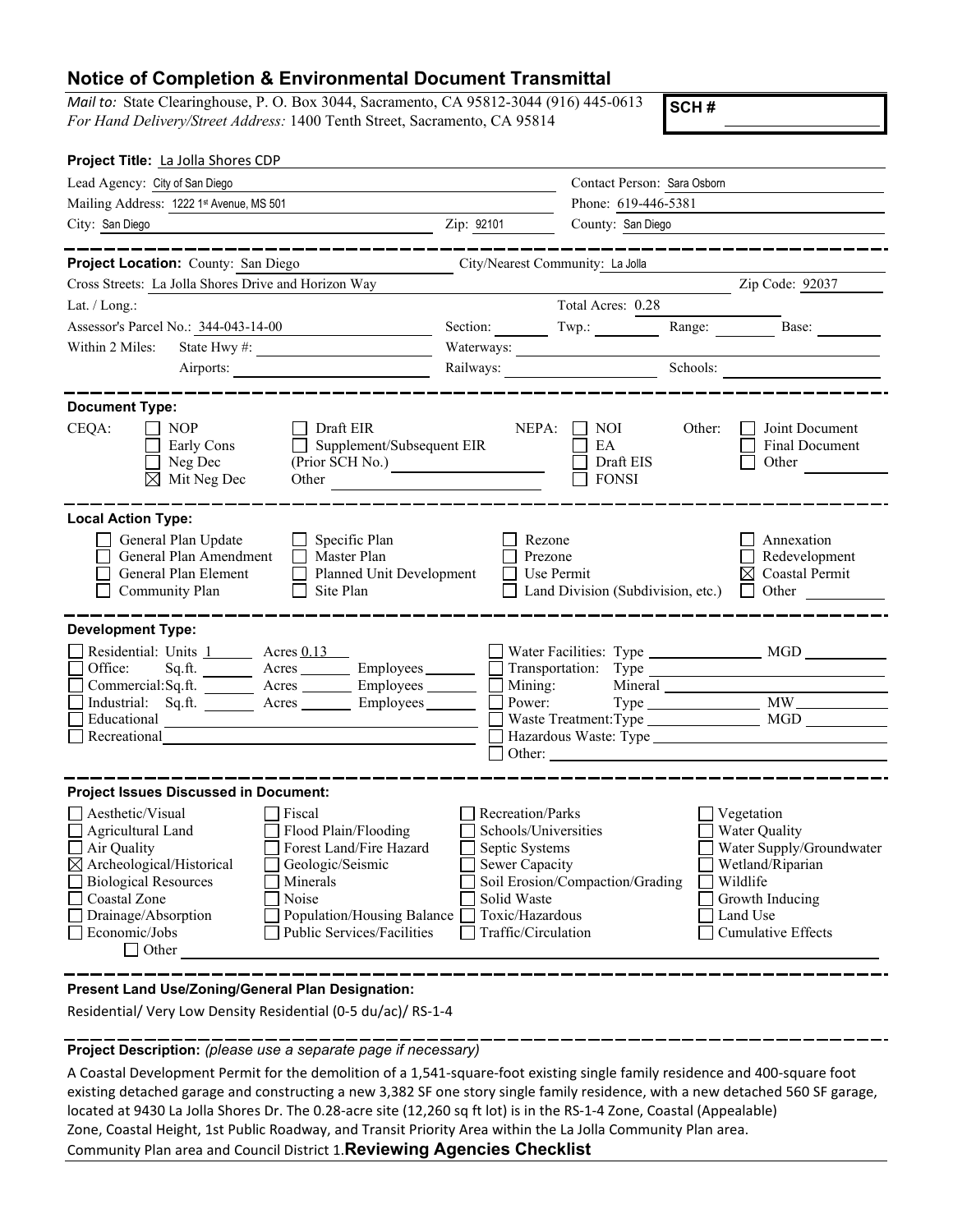## **Notice of Completion & Environmental Document Transmittal**

*Mail to:* State Clearinghouse, P. O. Box 3044, Sacramento, CA 95812-3044 (916) 445-0613 *For Hand Delivery/Street Address:* 1400 Tenth Street, Sacramento, CA 95814

**SCH #**

| Project Title: La Jolla Shores CDP                                                                                                                                                                                                                |                                        |                                                     |                                                                                                                                                                                                                               |
|---------------------------------------------------------------------------------------------------------------------------------------------------------------------------------------------------------------------------------------------------|----------------------------------------|-----------------------------------------------------|-------------------------------------------------------------------------------------------------------------------------------------------------------------------------------------------------------------------------------|
| Lead Agency: City of San Diego                                                                                                                                                                                                                    |                                        | Contact Person: Sara Osborn<br>Phone: 619-446-5381  |                                                                                                                                                                                                                               |
| Mailing Address: 1222 1st Avenue, MS 501                                                                                                                                                                                                          |                                        |                                                     |                                                                                                                                                                                                                               |
| City: San Diego                                                                                                                                                                                                                                   | Zip: 92101                             | County: San Diego                                   |                                                                                                                                                                                                                               |
|                                                                                                                                                                                                                                                   |                                        |                                                     | ________________                                                                                                                                                                                                              |
| Project Location: County: San Diego                                                                                                                                                                                                               | City/Nearest Community: La Jolla       |                                                     |                                                                                                                                                                                                                               |
| Cross Streets: La Jolla Shores Drive and Horizon Way                                                                                                                                                                                              |                                        |                                                     | Zip Code: 92037                                                                                                                                                                                                               |
| Lat. / Long.:                                                                                                                                                                                                                                     |                                        | Total Acres: 0.28                                   |                                                                                                                                                                                                                               |
| Assessor's Parcel No.: 344-043-14-00                                                                                                                                                                                                              |                                        |                                                     | Range:<br>Base:                                                                                                                                                                                                               |
| Within 2 Miles:                                                                                                                                                                                                                                   | Waterways:                             |                                                     |                                                                                                                                                                                                                               |
| Airports:                                                                                                                                                                                                                                         | Railways:                              |                                                     | Schools:                                                                                                                                                                                                                      |
| <b>Document Type:</b><br>CEQA:<br><b>NOP</b><br>Draft EIR<br>Supplement/Subsequent EIR<br>Early Cons<br>$\Box$<br>$\Box$ Neg Dec<br>(Prior SCH No.)<br>$\boxtimes$ Mit Neg Dec<br>Other                                                           |                                        | $NEPA: \Box NOI$<br>EA<br>Draft EIS<br><b>FONSI</b> | <b>Joint Document</b><br>Other:<br>Final Document<br>Other                                                                                                                                                                    |
| <b>Local Action Type:</b><br>General Plan Update<br>Specific Plan<br>General Plan Amendment<br>Master Plan<br>П<br>General Plan Element<br>Planned Unit Development<br>Community Plan<br>Site Plan                                                | Rezone<br>Prezone<br>$\Box$ Use Permit | $\Box$ Land Division (Subdivision, etc.)            | Annexation<br>Redevelopment<br>$\boxtimes$ Coastal Permit<br>Other                                                                                                                                                            |
| <b>Development Type:</b>                                                                                                                                                                                                                          |                                        |                                                     |                                                                                                                                                                                                                               |
| Residential: Units 1 Acres 0.13                                                                                                                                                                                                                   |                                        |                                                     |                                                                                                                                                                                                                               |
| $Sqrft.$ Acres $\xrightarrow{\text{Imployees}} \Box$ Transportation: Type $\xrightarrow{\text{Impl}} \Box$<br>Office:                                                                                                                             |                                        |                                                     |                                                                                                                                                                                                                               |
| Commercial: $Sq$ .ft. $\overline{\qquad}$ Acres $\overline{\qquad}$ Employees $\overline{\qquad}$ Mining: Industrial: $Sq$ .ft. Acres $\overline{\qquad}$ Employees $\overline{\qquad}$ Power:<br>Industrial: Sq.ft. <u>Acres</u> Acres Employees |                                        |                                                     | Mineral Land and School and School and School and School and School and School and School and School and School and School and School and School and School and School and School and School and School and School and School |
| Educational <u>Contract Communication</u>                                                                                                                                                                                                         |                                        |                                                     |                                                                                                                                                                                                                               |
| Recreational<br>the control of the control of the control of the control of the control of                                                                                                                                                        |                                        |                                                     |                                                                                                                                                                                                                               |
|                                                                                                                                                                                                                                                   |                                        |                                                     |                                                                                                                                                                                                                               |
| <b>Project Issues Discussed in Document:</b>                                                                                                                                                                                                      |                                        |                                                     |                                                                                                                                                                                                                               |
| Aesthetic/Visual<br>Fiscal                                                                                                                                                                                                                        | Recreation/Parks                       |                                                     | Vegetation                                                                                                                                                                                                                    |
| Flood Plain/Flooding<br>$\Box$ Agricultural Land                                                                                                                                                                                                  | Schools/Universities                   |                                                     | Water Quality                                                                                                                                                                                                                 |
| $\Box$ Air Quality<br>Forest Land/Fire Hazard                                                                                                                                                                                                     | Septic Systems                         |                                                     | Water Supply/Groundwater                                                                                                                                                                                                      |
| $\boxtimes$ Archeological/Historical<br>Geologic/Seismic<br><b>Biological Resources</b><br>  Minerals                                                                                                                                             | Sewer Capacity                         | Soil Erosion/Compaction/Grading                     | Wetland/Riparian<br>Wildlife                                                                                                                                                                                                  |
| Coastal Zone<br>Noise                                                                                                                                                                                                                             | Solid Waste                            |                                                     | Growth Inducing                                                                                                                                                                                                               |
| Drainage/Absorption<br>Population/Housing Balance $\Box$                                                                                                                                                                                          | Toxic/Hazardous                        |                                                     | Land Use                                                                                                                                                                                                                      |
| Public Services/Facilities<br>Economic/Jobs<br>$\Box$ Other                                                                                                                                                                                       | Traffic/Circulation                    |                                                     | <b>Cumulative Effects</b>                                                                                                                                                                                                     |

**Present Land Use/Zoning/General Plan Designation:**

Residential/ Very Low Density Residential (0-5 du/ac)/ RS-1-4

**Project Description:** *(please use a separate page if necessary)*

A Coastal Development Permit for the demolition of a 1,541-square-foot existing single family residence and 400-square foot existing detached garage and constructing a new 3,382 SF one story single family residence, with a new detached 560 SF garage, located at 9430 La Jolla Shores Dr. The 0.28-acre site (12,260 sq ft lot) is in the RS-1-4 Zone, Coastal (Appealable) Zone, Coastal Height, 1st Public Roadway, and Transit Priority Area within the La Jolla Community Plan area. Community Plan area and Council District 1.**Reviewing Agencies Checklist**